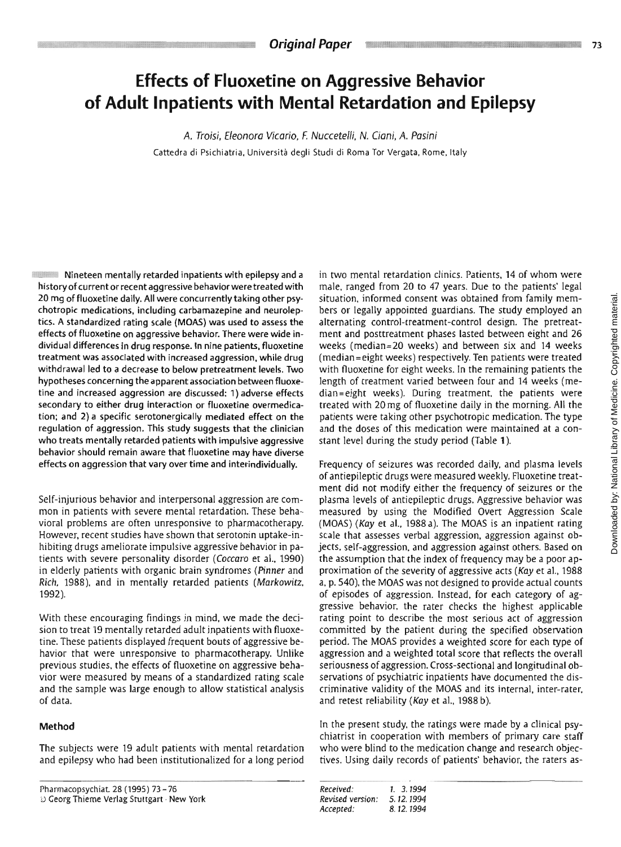# **Effects of Fluoxetine on Aggressive Behavior of Adult Inpatients with Mental Retardation and Epilepsy**

*A. Troisi, Eleonora Vicario,* E *Nuccetelli,* **N. Ciani,** *A. Posini*  Cattedra di Psichiatria. Universita degli Studi di Roma Tor Vergata. Rome. Italy

**-----**<br>Nineteen mentally retarded inpatients with epilepsy and a history of current or recent aggressive behaviorwere treated with 20 mg of fluoxetine daily. All were concurrently taking other psychotropic medications, including carbamazepine and neuroleptics. A standardized rating scale (MOAS) was used to assess the effects of fluoxetine on aggressive behavior. There were wide individual differences in drug response. In nine patients, fluoxetine treatment was associated with increased aggression, while drug withdrawal led to a decrease to below pretreatment levels. Two hypotheses concerning the apparent association between fluoxetine and increased aggression are discussed: I) adverse effects secondary to either drug interaction or fluoxetine overmedication; and 2) a specific serotonergically mediated effect on the regulation of aggression. This study suggests that the clinician who treats mentally retarded patients with impulsive aggressive behavior should remain aware that fluoxetine may have diverse effects on aggression that vary over time and interindividually.

-=.\*\* "." -\*.". . -- \_\_ **"w.\*-T.l** ---- **4-** 

Self-injurious behavior and interpersonal aggression are common in patients with severe mental retardation. These behavioral problems are often unresponsive to pharmacotherapy. However, recent studies have shown that serotonin uptake-inhibiting drugs ameliorate impulsive aggressive behavior in patients with severe personality disorder (Coccaro et al.. 1990) in elderly patients with organic brain syndromes *(Pinner* and *Rich,* 1988). and in mentally retarded patients **(Markowilt,**  1992).

With these encouraging findings in mind, we made the decision to treat 19 mentally retarded adult jnpatients with fluoxetine. These patients displayed frequent bouts of aggressive behavior that were unresponsive to pharmacotherapy. Unlike previous studies, the effects of fluoxetine on aggressive behavior were measured by means of a standardized rating scale and the sample was large enough to allow statistical analysis of data.

# **Method**

The subjects were 19 adult patients with mental retardation and epilepsy who had been institutionalized for a long period in two mental retardation clinics. Patients, 14 of whom were male, ranged from 20 to 47 years. Due to the patients' legal situation, informed consent was obtained from family members or legally appointed guardians. The study employed an alternating control-treatment-control design. The pretreatment and posttreatment phases lasted between eight and 26 weeks (median=20 weeks) and between six and 14 weeks (median=eight weeks) respectively. Ten patients were treated with fluoxetine for eight weeks. In the remaining patients the length of treatment varied between four and 14 weeks (median=eight weeks). During treatment. the patients were treated with 20 mg of fluoxetine daily in the morning. All the patients were taking other psychotropic medication. The type and the doses of this medication were maintained at a constant level during the study period (Table **1).** 

Frequency of seizures was recorded daily, and plasma levels of antiepileptic drugs were measured weekly. Fluoxetine treatment did not modify either the frequency of seizures or the plasma levels of antiepileptic drugs. Aggressive behavior was measured by using the Modified Overt Aggression Scale (MOAS) (Kay et al., 1988 a). The MOAS is an inpatient rating scale that assesses verbal aggression, aggression against objects. self-aggression. and aggression against others. Based on the assumption that the index of frequency may be a poor approximation of the severity of aggressive acts (Kay et al., 1988 a, p. 540), the MOAS was not designed to provide actual counts of episodes of aggression. Instead, for each category of aggressive behavjor. the rater checks the highest applicable rating poinr to describe the most serious act of aggression committed by the patient during the specified observation period. The MOAS provides a weighted score for each type of aggression and a weighted total score that reflects the overall seriousness of aggression. Cross-sectional and longitudinal observations of psychiatric inpatients have documented the discriminative validity of the MOAS and its internal, inter-rater. and retest reliability (Kay et al., 1988 b).

In the present study, the ratings were made by a clinical psychiatrist in cooperation with members of primary care staff who were blind to the medication change and research objectives. Using daily records of patients' behavior, the raters as-

| Received:        | 1 3.1994  |
|------------------|-----------|
| Revised version: | 5.12.1994 |
| Accepted:        | 8.12.1994 |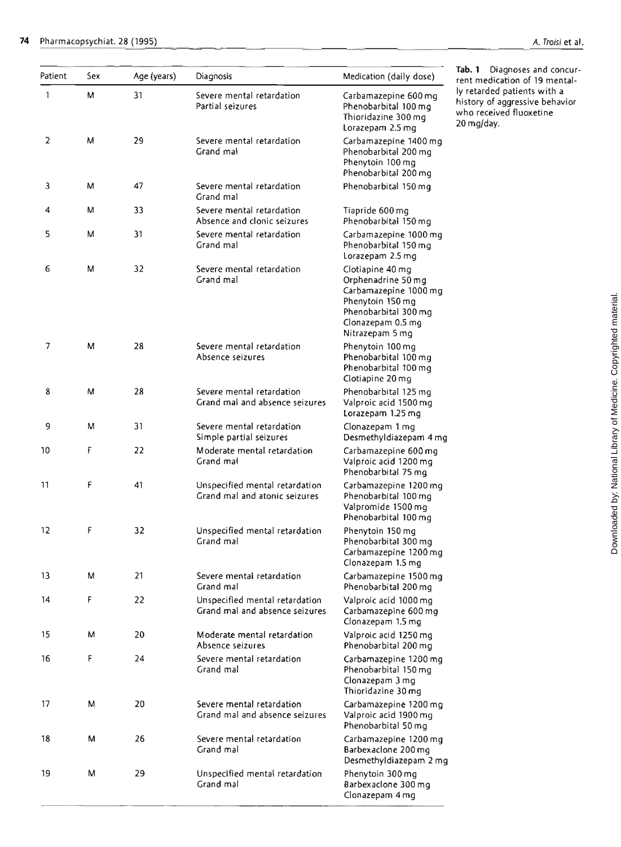| Patient      | Sex | Age (years) | Diagnosis                                                        | Medication (daily dose)                                                                                                                             | Tab. 1 Diagnoses and concur-<br>rent medication of 19 mental-                                          |
|--------------|-----|-------------|------------------------------------------------------------------|-----------------------------------------------------------------------------------------------------------------------------------------------------|--------------------------------------------------------------------------------------------------------|
| $\mathbf{1}$ | М   | 31          | Severe mental retardation<br>Partial seizures                    | Carbamazepine 600 mg<br>Phenobarbital 100 mg<br>Thioridazine 300 mg<br>Lorazepam 2.5 mg                                                             | ly retarded patients with a<br>history of aggressive behavior<br>who received fluoxetine<br>20 mg/day. |
| 2            | M   | 29          | Severe mental retardation<br>Grand mal                           | Carbamazepine 1400 mg<br>Phenobarbital 200 mg<br>Phenytoin 100 mg<br>Phenobarbital 200 mg                                                           |                                                                                                        |
| 3            | м   | 47          | Severe mental retardation<br>Grand mal                           | Phenobarbital 150 mg                                                                                                                                |                                                                                                        |
| 4            | М   | 33          | Severe mental retardation<br>Absence and clonic seizures         | Tiapride 600 mg<br>Phenobarbital 150 mg                                                                                                             |                                                                                                        |
| 5            | М   | 31          | Severe mental retardation<br>Grand mal                           | Carbamazepine 1000 mg<br>Phenobarbital 150 mg<br>Lorazepam 2.5 mg                                                                                   |                                                                                                        |
| 6            | М   | 32          | Severe mental retardation<br>Grand mal                           | Clotiapine 40 mg<br>Orphenadrine 50 mg<br>Carbamazepine 1000 mg<br>Phenytoin 150 mg<br>Phenobarbital 300 mg<br>Clonazepam 0.5 mg<br>Nitrazepam 5 mg |                                                                                                        |
| 7            | М   | 28          | Severe mental retardation<br>Absence seizures                    | Phenytoin 100 mg<br>Phenobarbital 100 mg<br>Phenobarbital 100 mq<br>Clotiapine 20 mg                                                                |                                                                                                        |
| 8            | M   | 28          | Severe mental retardation<br>Grand mal and absence seizures      | Phenobarbital 125 mg<br>Valproic acid 1500 mq<br>Lorazepam 1.25 mg                                                                                  |                                                                                                        |
| 9            | Μ   | 31          | Severe mental retardation<br>Simple partial seizures             | Clonazepam 1 mg<br>Desmethyldiazepam 4 mq                                                                                                           |                                                                                                        |
| 10           | F   | 22          | Moderate mental retardation<br>Grand mal                         | Carbamazepine 600 mg<br>Valproic acid 1200 mg<br>Phenobarbital 75 mg                                                                                |                                                                                                        |
| 11           | F   | 41          | Unspecified mental retardation<br>Grand mal and atonic seizures  | Carbamazepine 1200 mg<br>Phenobarbital 100 mg<br>Valpromide 1500 mg<br>Phenobarbital 100 mg                                                         |                                                                                                        |
| 12           | F   | 32          | Unspecified mental retardation<br>Grand mal                      | Phenytoin 150 mg<br>Phenobarbital 300 mg<br>Carbamazepine 1200 mg<br>Clonazepam 1.5 mg                                                              |                                                                                                        |
| 13           | М   | 21          | Severe mental retardation<br>Grand mal                           | Carbamazepine 1500 mg<br>Phenobarbital 200 mg                                                                                                       |                                                                                                        |
| 14           | F   | 22          | Unspecified mental retardation<br>Grand mal and absence seizures | Valproic acid 1000 mg<br>Carbamazepine 600 mg<br>Clonazepam 1.5 mg                                                                                  |                                                                                                        |
| 15           | м   | 20          | Moderate mental retardation<br>Absence seizures                  | Valproic acid 1250 mg<br>Phenobarbital 200 mg                                                                                                       |                                                                                                        |
| 16           | F   | 24          | Severe mental retardation<br>Grand mal                           | Carbamazepine 1200 mg<br>Phenobarbital 150 mg<br>Clonazepam 3 mg<br>Thioridazine 30 mg                                                              |                                                                                                        |
| 17           | М   | 20          | Severe mental retardation<br>Grand mal and absence seizures      | Carbamazepine 1200 mg<br>Valproic acid 1900 mg<br>Phenobarbital 50 mg                                                                               |                                                                                                        |
| 18           | м   | 26          | Severe mental retardation<br>Grand mal                           | Carbamazepine 1200 mg<br>Barbexaclone 200 mq<br>Desmethyldiazepam 2 mg                                                                              |                                                                                                        |
| 19           | М   | 29          | Unspecified mental retardation<br>Grand mal                      | Phenytoin 300 mg<br>Barbexaclone 300 mg<br>Clonazepam 4 mg                                                                                          |                                                                                                        |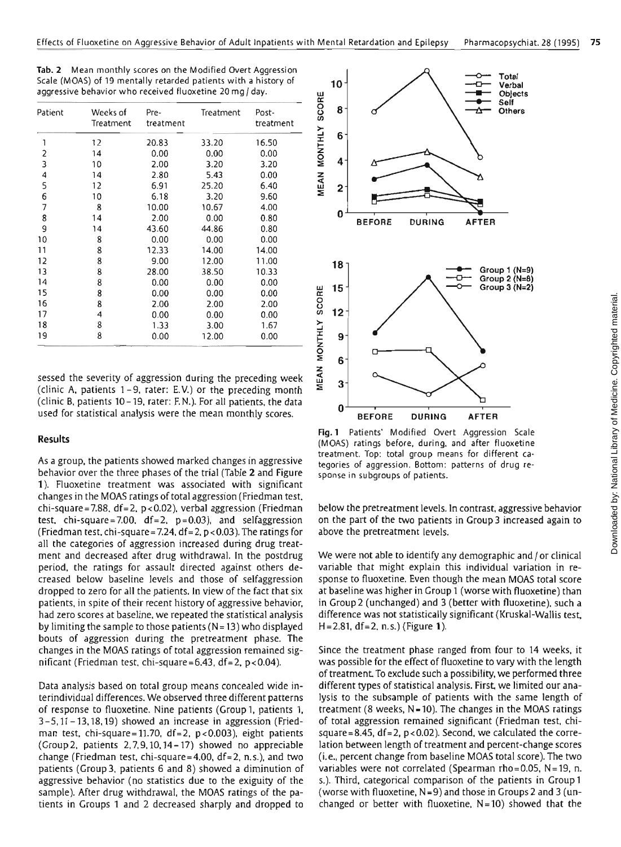| Tab. 2 Mean monthly scores on the Modified Overt Aggression     |
|-----------------------------------------------------------------|
| Scale (MOAS) of 19 mentally retarded patients with a history of |
| aggressive behavior who received fluoxetine 20 mg/day.          |

| Patient      | Weeks of<br>Treatment | Pre-<br>treatment | Treatment | Post-<br>treatment |
|--------------|-----------------------|-------------------|-----------|--------------------|
| 1            | 12                    | 20.83             | 33.20     | 16.50              |
| $\mathbf{c}$ | 14                    | 0.00              | 0.00      | 0.00               |
| 3            | 10                    | 2.00              | 3,20      | 3.20               |
| 4            | 14                    | 2.80              | 5.43      | 0.00               |
| 5            | 12                    | 6.91              | 25.20     | 6.40               |
| 6            | 10                    | 6.18              | 3.20      | 9.60               |
| 7            | 8                     | 10.00             | 10.67     | 4.00               |
| 8            | 14                    | 2.00              | 0.00      | 0.80               |
| 9            | 14                    | 43.60             | 44.86     | 0.80               |
| 10           | 8                     | 0.00              | 0.00      | 0.00               |
| 11           | 8                     | 12.33             | 14.00     | 14.00              |
| 12           | 8                     | 9.00              | 12.00     | 11.00              |
| 13           | 8                     | 28.00             | 38.50     | 10.33              |
| 14           | 8                     | 0.00              | 0.00      | 0.00               |
| 15           | 8                     | 0.00              | 0.00      | 0.00               |
| 16           | 8                     | 2.00              | 2.00      | 2.00               |
| 17           | 4                     | 0.00              | 0.00      | 0.00               |
| 18           | 8                     | 1.33              | 3.00      | 1.67               |
| 19           | 8                     | 0.00              | 12.00     | 0.00               |

sessed the severity of aggression during the preceding week (clinic **A,** patients 1-9, rater: **E.V.)** or the preceding month (clinic **B,** patients 10- 19. rater: EN.). For all patients. the data used for statistical analysis were the mean monthly scores.

#### **Results**

As a group, the patients showed marked changes in aggressive behavior over the three phases of the trial (Table 2 and Figure 1). Fluoxetine treatment was associated with significant changes in the **MOAS** ratings of total aggression (Friedman test. chi-square=7.88. df=2. p<0.02). verbal aggression (Friedman test. chi-square=7.00.  $df=2$ .  $p=0.03$ ), and selfaggression (Friedman test, chi-square = 7.24,  $df = 2$ ,  $p < 0.03$ ). The ratings for all the categories of aggression increased during drug treatment and decreased after drug withdrawal. In the postdrug period. the ratings for assault directed against others decreased below baseline levels and those of selfaggression dropped to zero for all the patients. In view of the fact that six patients, in spite of their recent history of aggressive behavior, had zero scores at baseline. we repeated the statistical analysis by limiting the sample to those patients (N = **13)** who displayed bouts of aggression during the pretreatment phase. The changes in the **MOAS** ratings of total aggression remained significant (Friedman test. chi-square =  $6.43$ , df =  $2$ ,  $p < 0.04$ ).

Data analysis based on total group means concealed wide interindividual differences. We observed three different patterns of response to fluoxetine. Nine patients (Group 1, patients 1. 3 -5,ll - 13,18,19) showed an increase in aggression (Friedman test, chi-square=11.70, df=2,  $p < 0.003$ ), eight patients (Group 2, patients 2,7,9,10,14- 17) showed no appreciable change (Friedman test, chi-square=4.00, df=2, n.s.), and two patients (Croup3, patients 6 and 8) showed a diminution of aggressive behavior (no statistics due to the exiguity of the sample). After drug withdrawal, the **MOAS** ratings of the patients in Groups 1 and 2 decreased sharply and dropped to



**Fig. 1** Patients' Modified Overt Aggression Scale (MOAS) ratings before, during. and after fluoxetine treatment. Top: total group means for different categories of aggression. Bottom: patterns of drug response in subgroups of patients.

below the pretreatment levels. In contrast, aggressive behavior on the part of the two patients in Croup3 increased again to above the pretreatment levels.

We were not able to identify any demographic and / or clinical variable that might explain this individual variation in response to fluoxetine. Even though the mean MOAS total score at baseline was higher in Croup I (worse with fluoxetine) than in Group2 (unchanged) and **3** (better with fluoxetine), such a difference was not statistically significant (Kruskal-Wallis test. **H=2,81,** df=2, n,s.) (Figure 1).

Since the treatment phase ranged from four to 14 weeks, it was possible for the effect of fluoxetine to vary with the length of treatment. To exclude such a possibility, we performed three different types of statistical analysis. First, we limited our analysis to the subsample of patients with the same length of treatment (8 weeks, N-10). The changes in the **MOAS** ratings of total aggression remained significant (Friedman test, chisquare = 8.45,  $df = 2$ ,  $p < 0.02$ ). Second, we calculated the correlation between length of treatment and percent-change scores (i.e., percent change from baseline **MOAS** total score). The two variables were not correlated (Spearman rho=0.05, N=19, n. s.). Third, categorical comparison of the patients in Croup1 (worse with fluoxetine, N =9) and those in Groups2 and **3** (unchanged or better with fluoxetine. **N=10)** showed that the